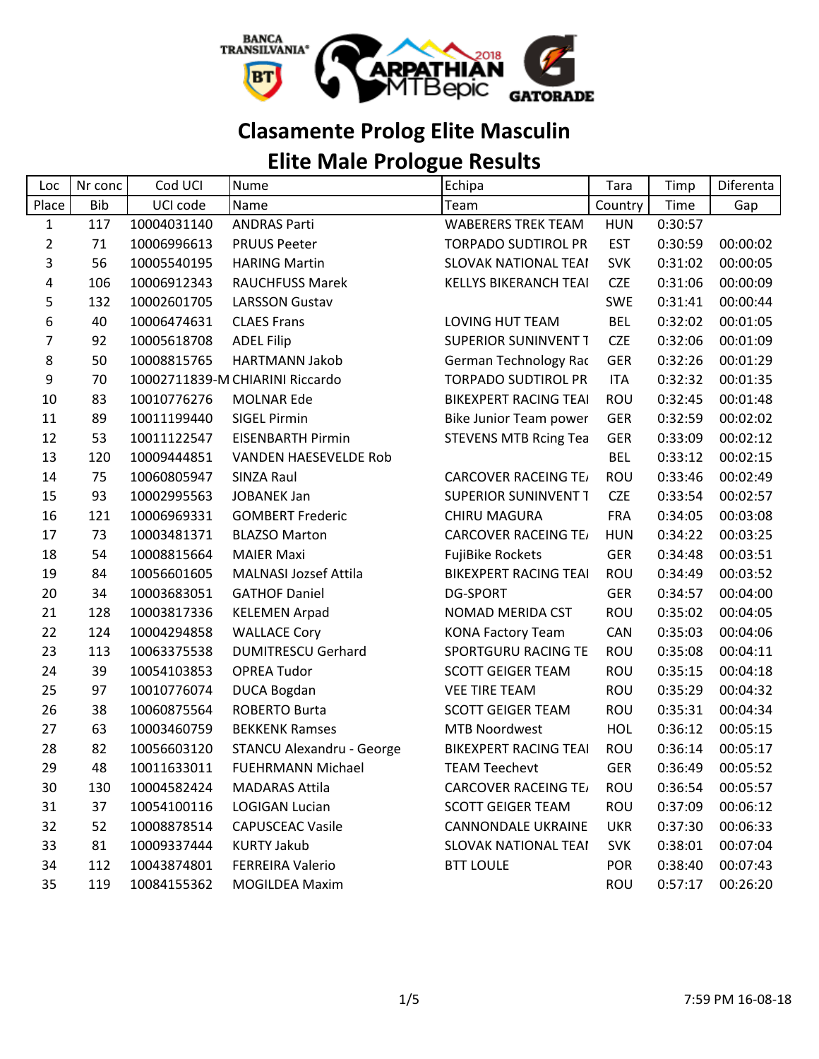

# **Clasamente Prolog Elite Masculin**

## **Elite Male Prologue Results**

| Loc            | Nr conc    | Cod UCI     | Nume                             | Echipa                       | <b>Tara</b> | Timp    | Diferenta |
|----------------|------------|-------------|----------------------------------|------------------------------|-------------|---------|-----------|
| Place          | <b>Bib</b> | UCI code    | Name                             | Team                         | Country     | Time    | Gap       |
| $\mathbf{1}$   | 117        | 10004031140 | <b>ANDRAS Parti</b>              | <b>WABERERS TREK TEAM</b>    | <b>HUN</b>  | 0:30:57 |           |
| $\overline{2}$ | 71         | 10006996613 | <b>PRUUS Peeter</b>              | <b>TORPADO SUDTIROL PR</b>   | <b>EST</b>  | 0:30:59 | 00:00:02  |
| $\mathsf{3}$   | 56         | 10005540195 | <b>HARING Martin</b>             | <b>SLOVAK NATIONAL TEAI</b>  | <b>SVK</b>  | 0:31:02 | 00:00:05  |
| 4              | 106        | 10006912343 | <b>RAUCHFUSS Marek</b>           | KELLYS BIKERANCH TEAI        | <b>CZE</b>  | 0:31:06 | 00:00:09  |
| 5              | 132        | 10002601705 | <b>LARSSON Gustav</b>            |                              | <b>SWE</b>  | 0:31:41 | 00:00:44  |
| 6              | 40         | 10006474631 | <b>CLAES Frans</b>               | LOVING HUT TEAM              | <b>BEL</b>  | 0:32:02 | 00:01:05  |
| 7              | 92         | 10005618708 | <b>ADEL Filip</b>                | <b>SUPERIOR SUNINVENT T</b>  | <b>CZE</b>  | 0:32:06 | 00:01:09  |
| 8              | 50         | 10008815765 | <b>HARTMANN Jakob</b>            | <b>German Technology Rac</b> | <b>GER</b>  | 0:32:26 | 00:01:29  |
| 9              | 70         |             | 10002711839-M CHIARINI Riccardo  | <b>TORPADO SUDTIROL PR</b>   | <b>ITA</b>  | 0:32:32 | 00:01:35  |
| 10             | 83         | 10010776276 | <b>MOLNAR Ede</b>                | <b>BIKEXPERT RACING TEAI</b> | ROU         | 0:32:45 | 00:01:48  |
| 11             | 89         | 10011199440 | <b>SIGEL Pirmin</b>              | Bike Junior Team power       | <b>GER</b>  | 0:32:59 | 00:02:02  |
| 12             | 53         | 10011122547 | <b>EISENBARTH Pirmin</b>         | <b>STEVENS MTB Rcing Tea</b> | <b>GER</b>  | 0:33:09 | 00:02:12  |
| 13             | 120        | 10009444851 | VANDEN HAESEVELDE Rob            |                              | <b>BEL</b>  | 0:33:12 | 00:02:15  |
| 14             | 75         | 10060805947 | SINZA Raul                       | <b>CARCOVER RACEING TE/</b>  | ROU         | 0:33:46 | 00:02:49  |
| 15             | 93         | 10002995563 | <b>JOBANEK Jan</b>               | <b>SUPERIOR SUNINVENT T</b>  | <b>CZE</b>  | 0:33:54 | 00:02:57  |
| 16             | 121        | 10006969331 | <b>GOMBERT Frederic</b>          | <b>CHIRU MAGURA</b>          | <b>FRA</b>  | 0:34:05 | 00:03:08  |
| 17             | 73         | 10003481371 | <b>BLAZSO Marton</b>             | <b>CARCOVER RACEING TE/</b>  | <b>HUN</b>  | 0:34:22 | 00:03:25  |
| 18             | 54         | 10008815664 | <b>MAIER Maxi</b>                | <b>FujiBike Rockets</b>      | <b>GER</b>  | 0:34:48 | 00:03:51  |
| 19             | 84         | 10056601605 | <b>MALNASI Jozsef Attila</b>     | <b>BIKEXPERT RACING TEAI</b> | ROU         | 0:34:49 | 00:03:52  |
| 20             | 34         | 10003683051 | <b>GATHOF Daniel</b>             | <b>DG-SPORT</b>              | <b>GER</b>  | 0:34:57 | 00:04:00  |
| 21             | 128        | 10003817336 | <b>KELEMEN Arpad</b>             | NOMAD MERIDA CST             | ROU         | 0:35:02 | 00:04:05  |
| 22             | 124        | 10004294858 | <b>WALLACE Cory</b>              | <b>KONA Factory Team</b>     | <b>CAN</b>  | 0:35:03 | 00:04:06  |
| 23             | 113        | 10063375538 | <b>DUMITRESCU Gerhard</b>        | SPORTGURU RACING TE          | ROU         | 0:35:08 | 00:04:11  |
| 24             | 39         | 10054103853 | <b>OPREA Tudor</b>               | <b>SCOTT GEIGER TEAM</b>     | ROU         | 0:35:15 | 00:04:18  |
| 25             | 97         | 10010776074 | <b>DUCA Bogdan</b>               | <b>VEE TIRE TEAM</b>         | ROU         | 0:35:29 | 00:04:32  |
| 26             | 38         | 10060875564 | <b>ROBERTO Burta</b>             | <b>SCOTT GEIGER TEAM</b>     | ROU         | 0:35:31 | 00:04:34  |
| 27             | 63         | 10003460759 | <b>BEKKENK Ramses</b>            | <b>MTB Noordwest</b>         | <b>HOL</b>  | 0:36:12 | 00:05:15  |
| 28             | 82         | 10056603120 | <b>STANCU Alexandru - George</b> | <b>BIKEXPERT RACING TEAI</b> | ROU         | 0:36:14 | 00:05:17  |
| 29             | 48         | 10011633011 | <b>FUEHRMANN Michael</b>         | <b>TEAM Teechevt</b>         | <b>GER</b>  | 0:36:49 | 00:05:52  |
| 30             | 130        | 10004582424 | <b>MADARAS Attila</b>            | <b>CARCOVER RACEING TE/</b>  | <b>ROU</b>  | 0:36:54 | 00:05:57  |
| 31             | 37         | 10054100116 | <b>LOGIGAN Lucian</b>            | <b>SCOTT GEIGER TEAM</b>     | ROU         | 0:37:09 | 00:06:12  |
| 32             | 52         | 10008878514 | <b>CAPUSCEAC Vasile</b>          | CANNONDALE UKRAINE           | <b>UKR</b>  | 0:37:30 | 00:06:33  |
| 33             | 81         | 10009337444 | <b>KURTY Jakub</b>               | SLOVAK NATIONAL TEAI         | <b>SVK</b>  | 0:38:01 | 00:07:04  |
| 34             | 112        | 10043874801 | <b>FERREIRA Valerio</b>          | <b>BTT LOULE</b>             | <b>POR</b>  | 0:38:40 | 00:07:43  |
| 35             | 119        | 10084155362 | <b>MOGILDEA Maxim</b>            |                              | <b>ROU</b>  | 0:57:17 | 00:26:20  |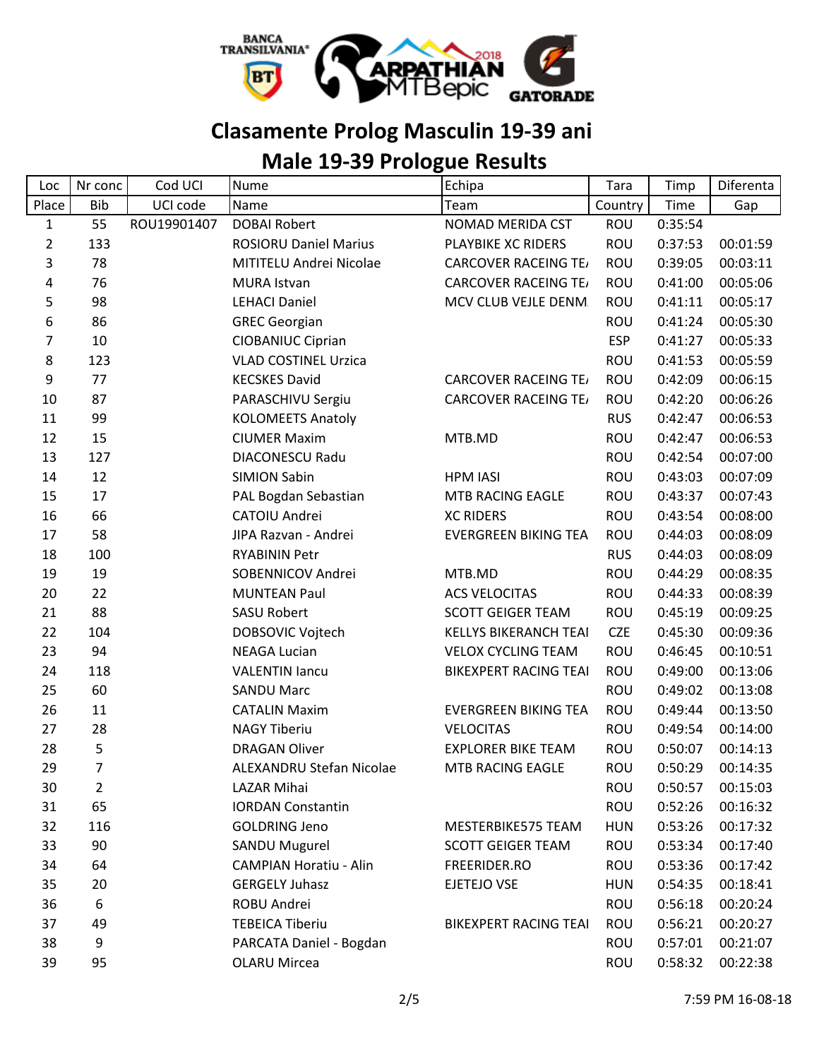

### **Clasamente Prolog Masculin 19-39 ani**

# **Male 19-39 Prologue Results**

| Loc            | Nr conc        | Cod UCI     | Nume                            | Echipa                       | Tara       | Timp    | Diferenta |
|----------------|----------------|-------------|---------------------------------|------------------------------|------------|---------|-----------|
| Place          | <b>Bib</b>     | UCI code    | Name                            | Team                         | Country    | Time    | Gap       |
| $\mathbf{1}$   | 55             | ROU19901407 | <b>DOBAI Robert</b>             | NOMAD MERIDA CST             | <b>ROU</b> | 0:35:54 |           |
| $\overline{2}$ | 133            |             | <b>ROSIORU Daniel Marius</b>    | PLAYBIKE XC RIDERS           | ROU        | 0:37:53 | 00:01:59  |
| 3              | 78             |             | MITITELU Andrei Nicolae         | <b>CARCOVER RACEING TE/</b>  | ROU        | 0:39:05 | 00:03:11  |
| 4              | 76             |             | <b>MURA Istvan</b>              | <b>CARCOVER RACEING TE/</b>  | ROU        | 0:41:00 | 00:05:06  |
| 5              | 98             |             | <b>LEHACI Daniel</b>            | MCV CLUB VEJLE DENM.         | ROU        | 0:41:11 | 00:05:17  |
| 6              | 86             |             | <b>GREC Georgian</b>            |                              | ROU        | 0:41:24 | 00:05:30  |
| 7              | 10             |             | CIOBANIUC Ciprian               |                              | <b>ESP</b> | 0:41:27 | 00:05:33  |
| 8              | 123            |             | <b>VLAD COSTINEL Urzica</b>     |                              | ROU        | 0:41:53 | 00:05:59  |
| 9              | 77             |             | <b>KECSKES David</b>            | <b>CARCOVER RACEING TE/</b>  | <b>ROU</b> | 0:42:09 | 00:06:15  |
| 10             | 87             |             | PARASCHIVU Sergiu               | <b>CARCOVER RACEING TE/</b>  | ROU        | 0:42:20 | 00:06:26  |
| 11             | 99             |             | <b>KOLOMEETS Anatoly</b>        |                              | <b>RUS</b> | 0:42:47 | 00:06:53  |
| 12             | 15             |             | <b>CIUMER Maxim</b>             | MTB.MD                       | ROU        | 0:42:47 | 00:06:53  |
| 13             | 127            |             | <b>DIACONESCU Radu</b>          |                              | <b>ROU</b> | 0:42:54 | 00:07:00  |
| 14             | 12             |             | <b>SIMION Sabin</b>             | <b>HPM IASI</b>              | ROU        | 0:43:03 | 00:07:09  |
| 15             | 17             |             | PAL Bogdan Sebastian            | MTB RACING EAGLE             | ROU        | 0:43:37 | 00:07:43  |
| 16             | 66             |             | CATOIU Andrei                   | <b>XC RIDERS</b>             | ROU        | 0:43:54 | 00:08:00  |
| 17             | 58             |             | JIPA Razvan - Andrei            | <b>EVERGREEN BIKING TEA</b>  | ROU        | 0:44:03 | 00:08:09  |
| 18             | 100            |             | <b>RYABININ Petr</b>            |                              | <b>RUS</b> | 0:44:03 | 00:08:09  |
| 19             | 19             |             | SOBENNICOV Andrei               | MTB.MD                       | ROU        | 0:44:29 | 00:08:35  |
| 20             | 22             |             | <b>MUNTEAN Paul</b>             | <b>ACS VELOCITAS</b>         | ROU        | 0:44:33 | 00:08:39  |
| 21             | 88             |             | <b>SASU Robert</b>              | <b>SCOTT GEIGER TEAM</b>     | ROU        | 0:45:19 | 00:09:25  |
| 22             | 104            |             | DOBSOVIC Vojtech                | <b>KELLYS BIKERANCH TEAI</b> | <b>CZE</b> | 0:45:30 | 00:09:36  |
| 23             | 94             |             | <b>NEAGA Lucian</b>             | <b>VELOX CYCLING TEAM</b>    | ROU        | 0:46:45 | 00:10:51  |
| 24             | 118            |             | <b>VALENTIN lancu</b>           | <b>BIKEXPERT RACING TEAI</b> | ROU        | 0:49:00 | 00:13:06  |
| 25             | 60             |             | <b>SANDU Marc</b>               |                              | ROU        | 0:49:02 | 00:13:08  |
| 26             | 11             |             | <b>CATALIN Maxim</b>            | <b>EVERGREEN BIKING TEA</b>  | <b>ROU</b> | 0:49:44 | 00:13:50  |
| 27             | 28             |             | <b>NAGY Tiberiu</b>             | <b>VELOCITAS</b>             | ROU        | 0:49:54 | 00:14:00  |
| 28             | 5              |             | <b>DRAGAN Oliver</b>            | <b>EXPLORER BIKE TEAM</b>    | ROU        | 0:50:07 | 00:14:13  |
| 29             | $\overline{7}$ |             | <b>ALEXANDRU Stefan Nicolae</b> | MTB RACING EAGLE             | <b>ROU</b> | 0:50:29 | 00:14:35  |
| 30             | $\overline{2}$ |             | LAZAR Mihai                     |                              | ROU        | 0:50:57 | 00:15:03  |
| 31             | 65             |             | <b>IORDAN Constantin</b>        |                              | ROU        | 0:52:26 | 00:16:32  |
| 32             | 116            |             | <b>GOLDRING Jeno</b>            | MESTERBIKE575 TEAM           | <b>HUN</b> | 0:53:26 | 00:17:32  |
| 33             | 90             |             | <b>SANDU Mugurel</b>            | <b>SCOTT GEIGER TEAM</b>     | ROU        | 0:53:34 | 00:17:40  |
| 34             | 64             |             | <b>CAMPIAN Horatiu - Alin</b>   | FREERIDER.RO                 | ROU        | 0:53:36 | 00:17:42  |
| 35             | 20             |             | <b>GERGELY Juhasz</b>           | EJETEJO VSE                  | <b>HUN</b> | 0:54:35 | 00:18:41  |
| 36             | 6              |             | ROBU Andrei                     |                              | ROU        | 0:56:18 | 00:20:24  |
| 37             | 49             |             | <b>TEBEICA Tiberiu</b>          | <b>BIKEXPERT RACING TEAI</b> | ROU        | 0:56:21 | 00:20:27  |
| 38             | 9              |             | PARCATA Daniel - Bogdan         |                              | ROU        | 0:57:01 | 00:21:07  |
| 39             | 95             |             | <b>OLARU Mircea</b>             |                              | ROU        | 0:58:32 | 00:22:38  |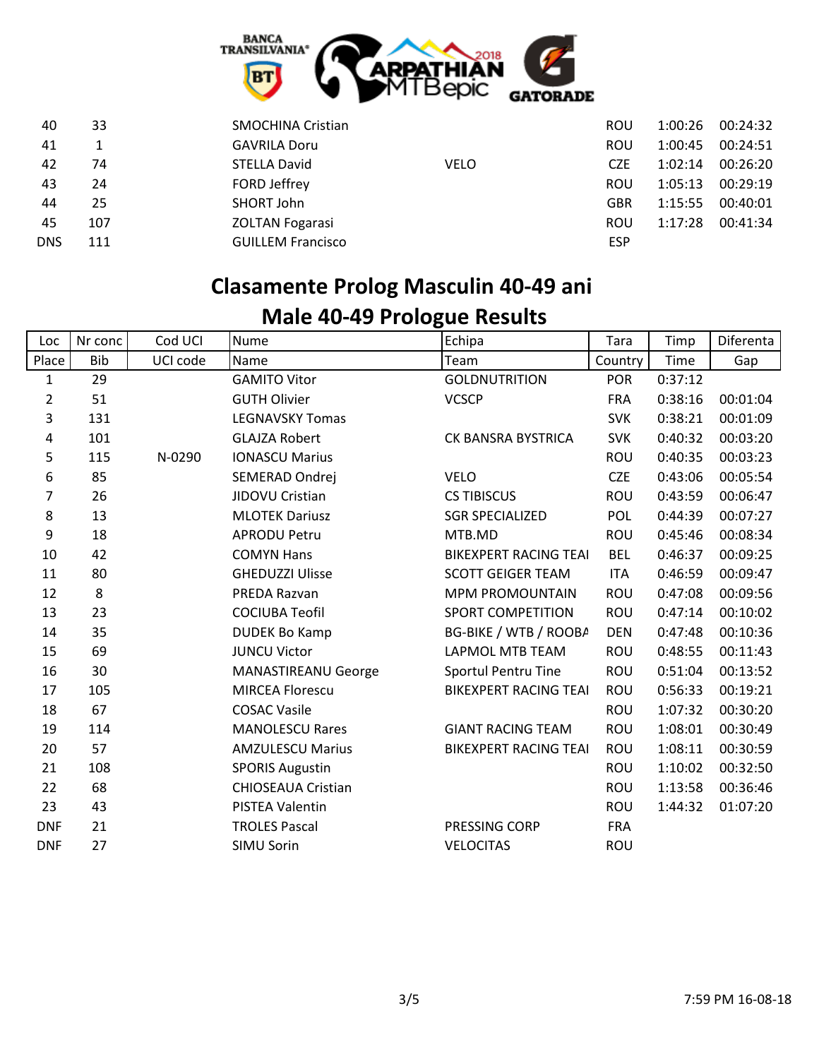

| 40         | 33  | <b>SMOCHINA Cristian</b>           | ROU        | 1:00:26 | 00:24:32 |
|------------|-----|------------------------------------|------------|---------|----------|
| 41         |     | <b>GAVRILA Doru</b>                | ROU        | 1:00:45 | 00:24:51 |
| 42         | 74  | <b>STELLA David</b><br><b>VELO</b> | <b>CZE</b> | 1:02:14 | 00:26:20 |
| 43         | 24  | FORD Jeffrey                       | <b>ROU</b> | 1:05:13 | 00:29:19 |
| 44         | 25  | SHORT John                         | GBR        | 1:15:55 | 00:40:01 |
| 45         | 107 | <b>ZOLTAN Fogarasi</b>             | ROU        | 1:17:28 | 00:41:34 |
| <b>DNS</b> | 111 | <b>GUILLEM Francisco</b>           | <b>ESP</b> |         |          |
|            |     |                                    |            |         |          |

### **Clasamente Prolog Masculin 40-49 ani**

| Loc            | Nr conc    | Cod UCI  | <b>Nume</b>                | Echipa                       | Tara       | Timp    | Diferenta |
|----------------|------------|----------|----------------------------|------------------------------|------------|---------|-----------|
| Place          | <b>Bib</b> | UCI code | Name                       | Team                         | Country    | Time    | Gap       |
| 1              | 29         |          | <b>GAMITO Vitor</b>        | <b>GOLDNUTRITION</b>         | <b>POR</b> | 0:37:12 |           |
| $\overline{2}$ | 51         |          | <b>GUTH Olivier</b>        | <b>VCSCP</b>                 | <b>FRA</b> | 0:38:16 | 00:01:04  |
| 3              | 131        |          | <b>LEGNAVSKY Tomas</b>     |                              | <b>SVK</b> | 0:38:21 | 00:01:09  |
| 4              | 101        |          | <b>GLAJZA Robert</b>       | CK BANSRA BYSTRICA           | <b>SVK</b> | 0:40:32 | 00:03:20  |
| 5              | 115        | N-0290   | <b>IONASCU Marius</b>      |                              | <b>ROU</b> | 0:40:35 | 00:03:23  |
| 6              | 85         |          | SEMERAD Ondrej             | <b>VELO</b>                  | <b>CZE</b> | 0:43:06 | 00:05:54  |
| 7              | 26         |          | JIDOVU Cristian            | <b>CS TIBISCUS</b>           | <b>ROU</b> | 0:43:59 | 00:06:47  |
| 8              | 13         |          | <b>MLOTEK Dariusz</b>      | <b>SGR SPECIALIZED</b>       | <b>POL</b> | 0:44:39 | 00:07:27  |
| 9              | 18         |          | <b>APRODU Petru</b>        | MTB.MD                       | <b>ROU</b> | 0:45:46 | 00:08:34  |
| 10             | 42         |          | <b>COMYN Hans</b>          | <b>BIKEXPERT RACING TEAI</b> | <b>BEL</b> | 0:46:37 | 00:09:25  |
| 11             | 80         |          | <b>GHEDUZZI Ulisse</b>     | <b>SCOTT GEIGER TEAM</b>     | <b>ITA</b> | 0:46:59 | 00:09:47  |
| 12             | 8          |          | PREDA Razvan               | <b>MPM PROMOUNTAIN</b>       | <b>ROU</b> | 0:47:08 | 00:09:56  |
| 13             | 23         |          | <b>COCIUBA Teofil</b>      | <b>SPORT COMPETITION</b>     | <b>ROU</b> | 0:47:14 | 00:10:02  |
| 14             | 35         |          | <b>DUDEK Bo Kamp</b>       | BG-BIKE / WTB / ROOBA        | <b>DEN</b> | 0:47:48 | 00:10:36  |
| 15             | 69         |          | <b>JUNCU Victor</b>        | <b>LAPMOL MTB TEAM</b>       | <b>ROU</b> | 0:48:55 | 00:11:43  |
| 16             | 30         |          | <b>MANASTIREANU George</b> | <b>Sportul Pentru Tine</b>   | <b>ROU</b> | 0:51:04 | 00:13:52  |
| 17             | 105        |          | <b>MIRCEA Florescu</b>     | <b>BIKEXPERT RACING TEAI</b> | <b>ROU</b> | 0:56:33 | 00:19:21  |
| 18             | 67         |          | <b>COSAC Vasile</b>        |                              | <b>ROU</b> | 1:07:32 | 00:30:20  |
| 19             | 114        |          | <b>MANOLESCU Rares</b>     | <b>GIANT RACING TEAM</b>     | <b>ROU</b> | 1:08:01 | 00:30:49  |
| 20             | 57         |          | <b>AMZULESCU Marius</b>    | <b>BIKEXPERT RACING TEAI</b> | <b>ROU</b> | 1:08:11 | 00:30:59  |
| 21             | 108        |          | <b>SPORIS Augustin</b>     |                              | <b>ROU</b> | 1:10:02 | 00:32:50  |
| 22             | 68         |          | <b>CHIOSEAUA Cristian</b>  |                              | <b>ROU</b> | 1:13:58 | 00:36:46  |
| 23             | 43         |          | <b>PISTEA Valentin</b>     |                              | <b>ROU</b> | 1:44:32 | 01:07:20  |
| <b>DNF</b>     | 21         |          | <b>TROLES Pascal</b>       | PRESSING CORP                | <b>FRA</b> |         |           |
| <b>DNF</b>     | 27         |          | SIMU Sorin                 | <b>VELOCITAS</b>             | <b>ROU</b> |         |           |
|                |            |          |                            |                              |            |         |           |

### **Male 40-49 Prologue Results**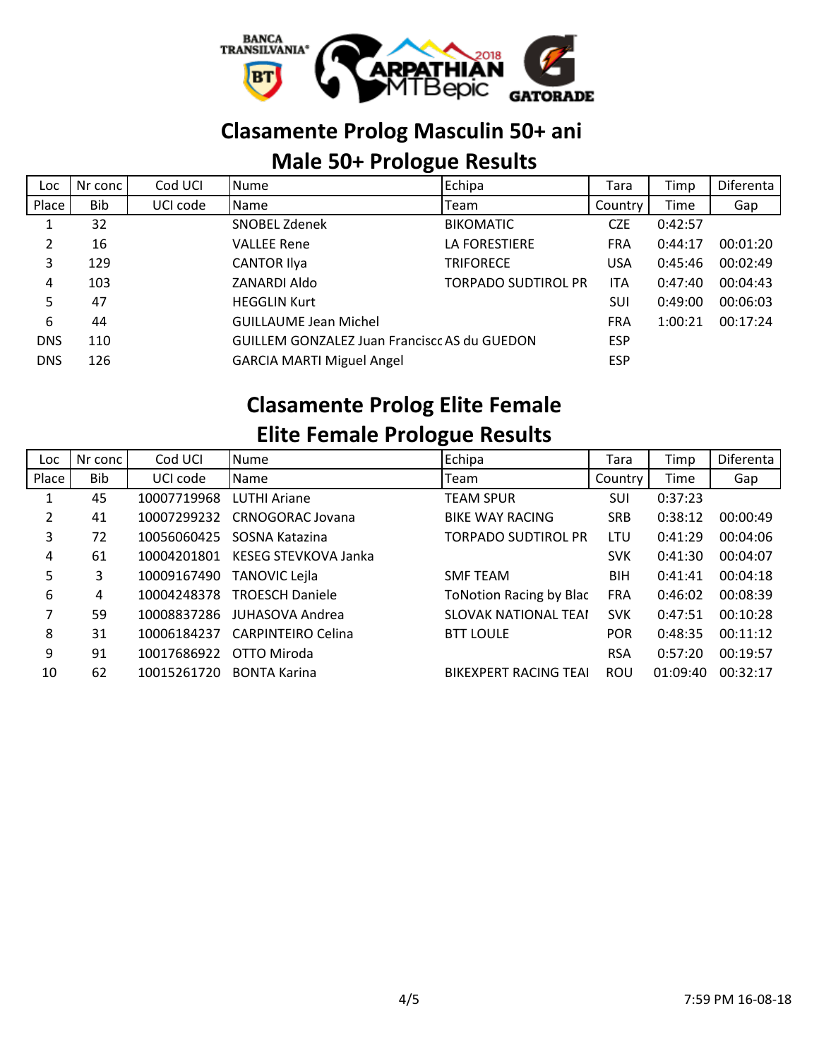

### **Clasamente Prolog Masculin 50+ ani**

#### **Male 50+ Prologue Results**

| Loc        | Nr conc | Cod UCI  | <b>Nume</b>                                         | Echipa                     | Tara       | Timp    | Diferenta |
|------------|---------|----------|-----------------------------------------------------|----------------------------|------------|---------|-----------|
| Place      | Bib     | UCI code | Name                                                | Team                       | Country    | Time    | Gap       |
|            | 32      |          | SNOBEL Zdenek                                       | <b>BIKOMATIC</b>           | <b>CZE</b> | 0:42:57 |           |
|            | 16      |          | <b>VALLEE Rene</b>                                  | LA FORESTIERE              | <b>FRA</b> | 0:44:17 | 00:01:20  |
| 3          | 129     |          | <b>CANTOR Ilya</b>                                  | <b>TRIFORECE</b>           | <b>USA</b> | 0:45:46 | 00:02:49  |
| 4          | 103     |          | ZANARDI Aldo                                        | <b>TORPADO SUDTIROL PR</b> | <b>ITA</b> | 0:47:40 | 00:04:43  |
| 5          | 47      |          | <b>HEGGLIN Kurt</b>                                 |                            | SUI        | 0:49:00 | 00:06:03  |
| 6          | 44      |          | <b>GUILLAUME Jean Michel</b>                        |                            | <b>FRA</b> | 1:00:21 | 00:17:24  |
| <b>DNS</b> | 110     |          | <b>GUILLEM GONZALEZ Juan Francisco AS du GUEDON</b> |                            | <b>ESP</b> |         |           |
| <b>DNS</b> | 126     |          | <b>GARCIA MARTI Miguel Angel</b>                    |                            | <b>ESP</b> |         |           |

#### **Clasamente Prolog Elite Female Elite Female Prologue Results**

| Loc   | Nr conc | Cod UCI     | <b>Nume</b>               | Echipa                         | Tara       | Timp     | Diferenta |
|-------|---------|-------------|---------------------------|--------------------------------|------------|----------|-----------|
| Place | Bib     | UCI code    | <b>I</b> Name             | Team                           | Country    | Time     | Gap       |
|       | 45      | 10007719968 | <b>LUTHI Ariane</b>       | <b>TEAM SPUR</b>               | SUI        | 0:37:23  |           |
| 2     | 41      | 10007299232 | CRNOGORAC Jovana          | <b>BIKE WAY RACING</b>         | <b>SRB</b> | 0:38:12  | 00:00:49  |
| 3     | 72      | 10056060425 | SOSNA Katazina            | <b>TORPADO SUDTIROL PR</b>     | LTU        | 0:41:29  | 00:04:06  |
| 4     | 61      | 10004201801 | KESEG STEVKOVA Janka      |                                | <b>SVK</b> | 0:41:30  | 00:04:07  |
| 5     | 3       | 10009167490 | <b>TANOVIC Lejla</b>      | <b>SMF TEAM</b>                | <b>BIH</b> | 0:41:41  | 00:04:18  |
| 6     | 4       | 10004248378 | <b>TROESCH Daniele</b>    | <b>ToNotion Racing by Blac</b> | <b>FRA</b> | 0:46:02  | 00:08:39  |
| 7     | 59      | 10008837286 | JUHASOVA Andrea           | <b>SLOVAK NATIONAL TEAM</b>    | <b>SVK</b> | 0:47:51  | 00:10:28  |
| 8     | 31      | 10006184237 | <b>CARPINTEIRO Celina</b> | <b>BTT LOULE</b>               | <b>POR</b> | 0:48:35  | 00:11:12  |
| 9     | 91      | 10017686922 | OTTO Miroda               |                                | <b>RSA</b> | 0:57:20  | 00:19:57  |
| 10    | 62      | 10015261720 | <b>BONTA Karina</b>       | <b>BIKEXPERT RACING TEAL</b>   | <b>ROU</b> | 01:09:40 | 00:32:17  |